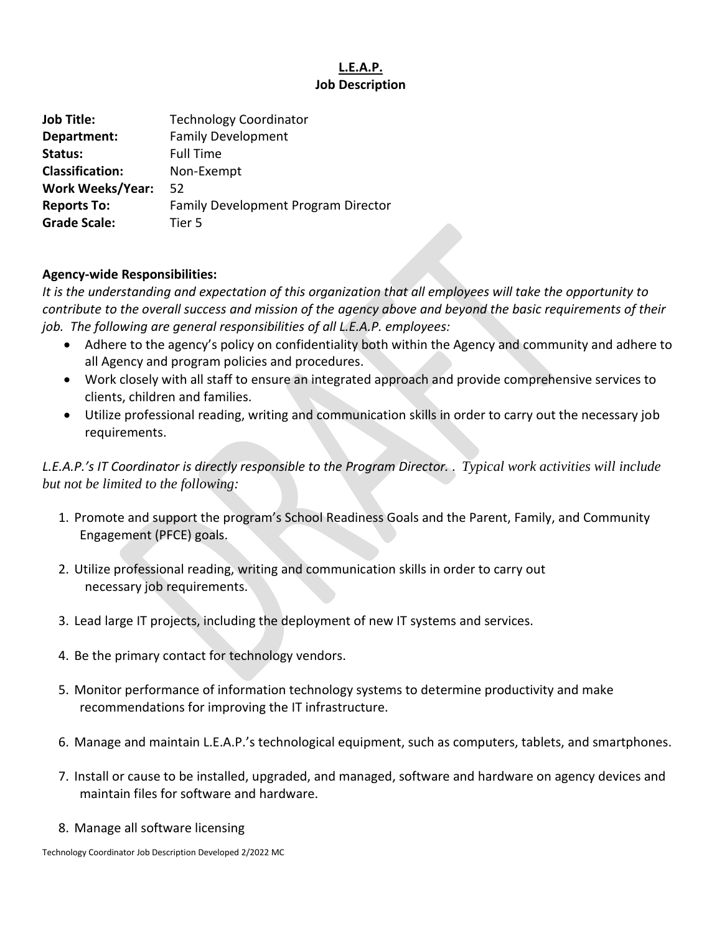## **L.E.A.P. Job Description**

| Family Development Program Director |
|-------------------------------------|
|                                     |
|                                     |

## **Agency-wide Responsibilities:**

*It is the understanding and expectation of this organization that all employees will take the opportunity to contribute to the overall success and mission of the agency above and beyond the basic requirements of their job. The following are general responsibilities of all L.E.A.P. employees:*

- Adhere to the agency's policy on confidentiality both within the Agency and community and adhere to all Agency and program policies and procedures.
- Work closely with all staff to ensure an integrated approach and provide comprehensive services to clients, children and families.
- Utilize professional reading, writing and communication skills in order to carry out the necessary job requirements.

*L.E.A.P.'s IT Coordinator is directly responsible to the Program Director.* . *Typical work activities will include but not be limited to the following:*

- 1. Promote and support the program's School Readiness Goals and the Parent, Family, and Community Engagement (PFCE) goals.
- 2. Utilize professional reading, writing and communication skills in order to carry out necessary job requirements.
- 3. Lead large IT projects, including the deployment of new IT systems and services.
- 4. Be the primary contact for technology vendors.
- 5. Monitor performance of information technology systems to determine productivity and make recommendations for improving the IT infrastructure.
- 6. Manage and maintain L.E.A.P.'s technological equipment, such as computers, tablets, and smartphones.
- 7. Install or cause to be installed, upgraded, and managed, software and hardware on agency devices and maintain files for software and hardware.
- 8. Manage all software licensing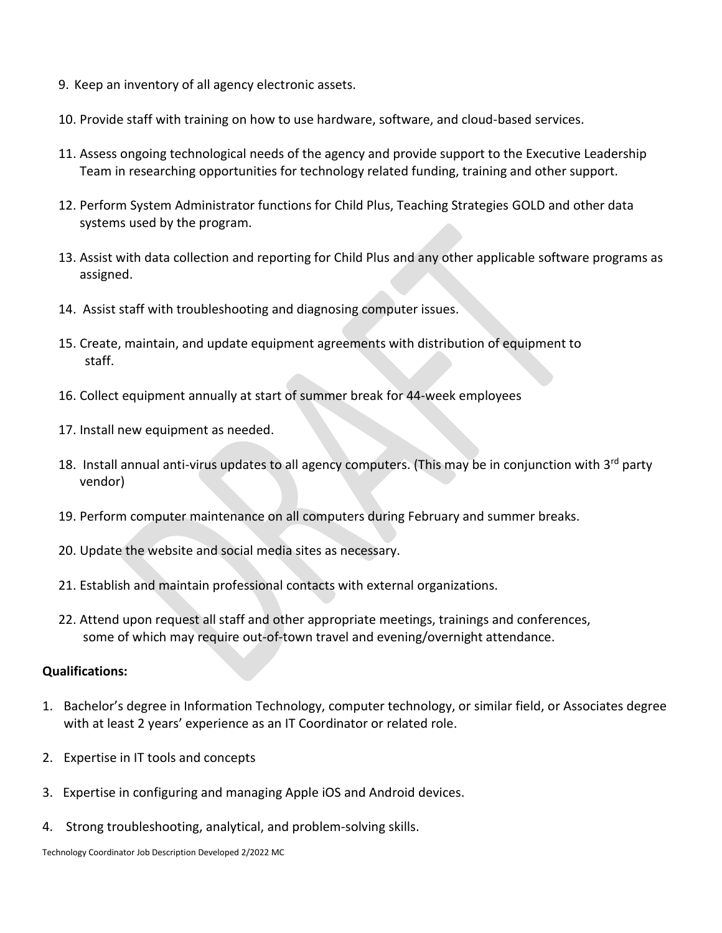- 9. Keep an inventory of all agency electronic assets.
- 10. Provide staff with training on how to use hardware, software, and cloud-based services.
- 11. Assess ongoing technological needs of the agency and provide support to the Executive Leadership Team in researching opportunities for technology related funding, training and other support.
- 12. Perform System Administrator functions for Child Plus, Teaching Strategies GOLD and other data systems used by the program.
- 13. Assist with data collection and reporting for Child Plus and any other applicable software programs as assigned.
- 14. Assist staff with troubleshooting and diagnosing computer issues.
- 15. Create, maintain, and update equipment agreements with distribution of equipment to staff.
- 16. Collect equipment annually at start of summer break for 44-week employees
- 17. Install new equipment as needed.
- 18. Install annual anti-virus updates to all agency computers. (This may be in conjunction with 3<sup>rd</sup> party vendor)
- 19. Perform computer maintenance on all computers during February and summer breaks.
- 20. Update the website and social media sites as necessary.
- 21. Establish and maintain professional contacts with external organizations.
- 22. Attend upon request all staff and other appropriate meetings, trainings and conferences, some of which may require out-of-town travel and evening/overnight attendance.

## **Qualifications:**

- 1. Bachelor's degree in Information Technology, computer technology, or similar field, or Associates degree with at least 2 years' experience as an IT Coordinator or related role.
- 2. Expertise in IT tools and concepts
- 3. Expertise in configuring and managing Apple iOS and Android devices.
- 4. Strong troubleshooting, analytical, and problem-solving skills.

Technology Coordinator Job Description Developed 2/2022 MC